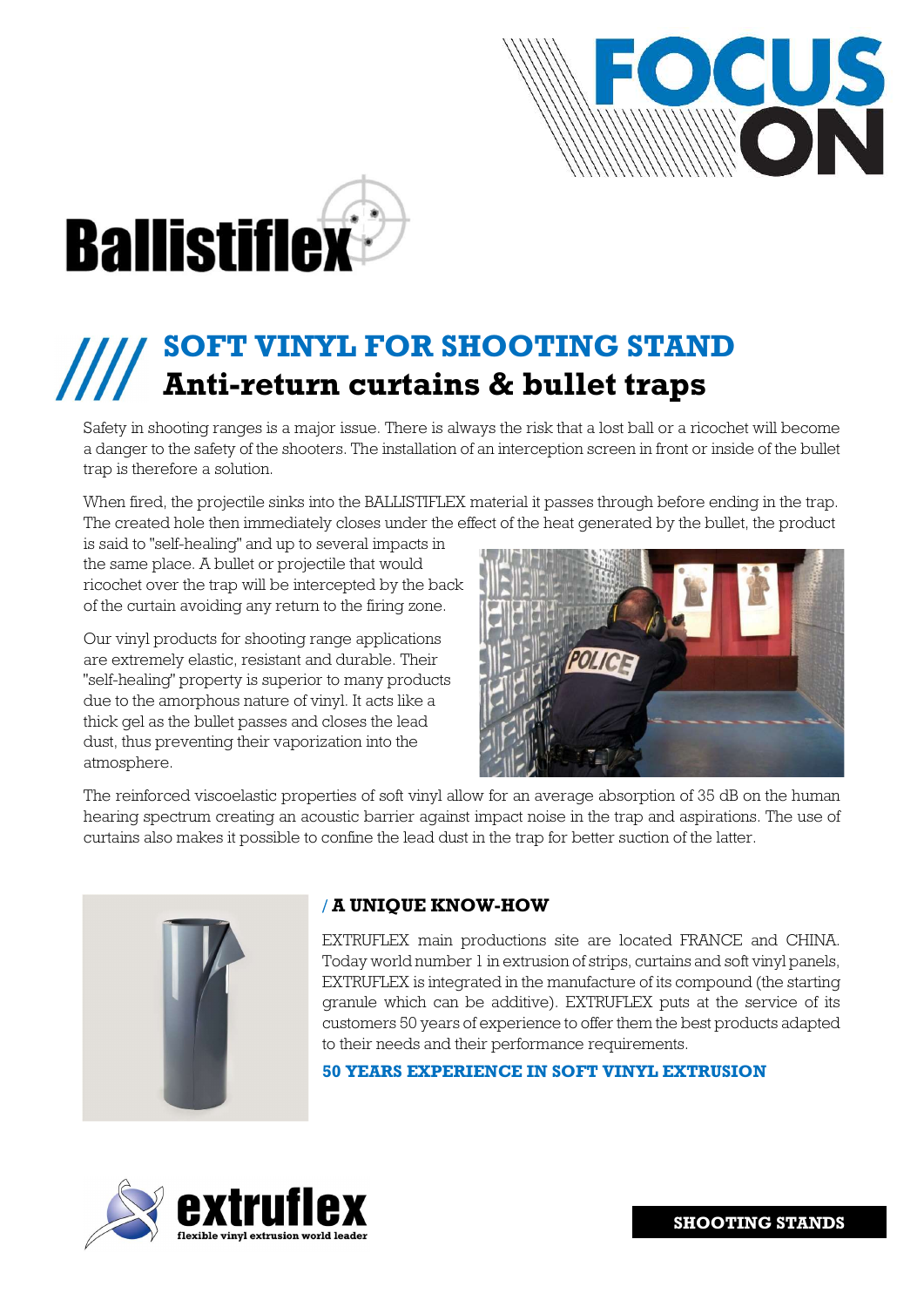



# SOFT VINYL FOR SHOOTING STAND Anti-return curtains & bullet traps

Safety in shooting ranges is a major issue. There is always the risk that a lost ball or a ricochet will become a danger to the safety of the shooters. The installation of an interception screen in front or inside of the bullet trap is therefore a solution.

When fired, the projectile sinks into the BALLISTIFLEX material it passes through before ending in the trap. The created hole then immediately closes under the effect of the heat generated by the bullet, the product

is said to "self-healing" and up to several impacts in the same place. A bullet or projectile that would ricochet over the trap will be intercepted by the back of the curtain avoiding any return to the firing zone.

Our vinyl products for shooting range applications are extremely elastic, resistant and durable. Their "self-healing" property is superior to many products due to the amorphous nature of vinyl. It acts like a thick gel as the bullet passes and closes the lead dust, thus preventing their vaporization into the atmosphere.



The reinforced viscoelastic properties of soft vinyl allow for an average absorption of 35 dB on the human hearing spectrum creating an acoustic barrier against impact noise in the trap and aspirations. The use of curtains also makes it possible to confine the lead dust in the trap for better suction of the latter.



# / A UNIQUE KNOW-HOW

EXTRUFLEX main productions site are located FRANCE and CHINA. Today world number 1 in extrusion of strips, curtains and soft vinyl panels, EXTRUFLEX is integrated in the manufacture of its compound (the starting granule which can be additive). EXTRUFLEX puts at the service of its customers 50 years of experience to offer them the best products adapted to their needs and their performance requirements.

50 YEARS EXPERIENCE IN SOFT VINYL EXTRUSION